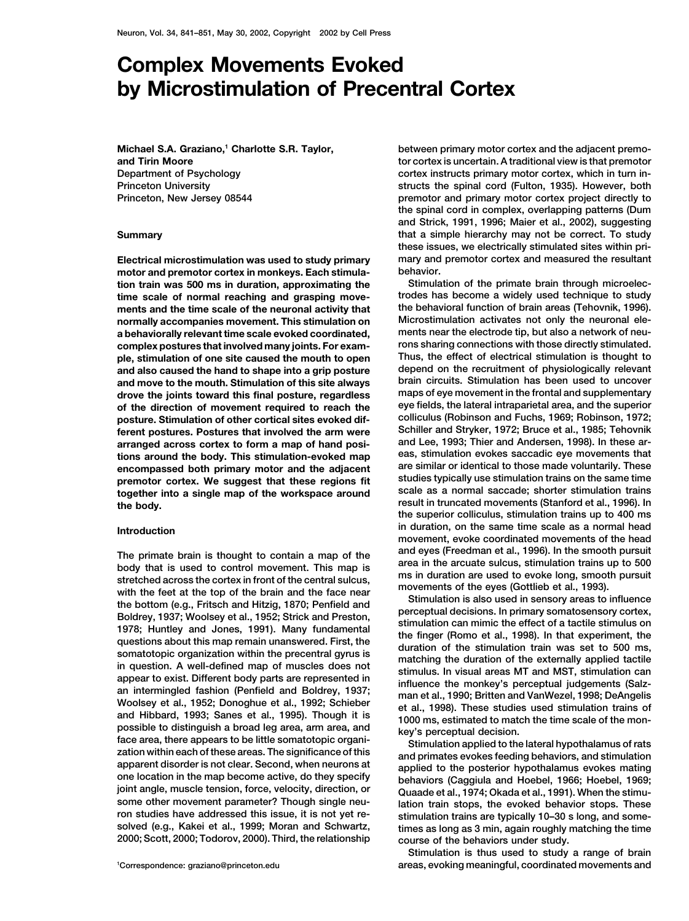# **Complex Movements Evoked by Microstimulation of Precentral Cortex**

**Michael S.A. Graziano,1 Charlotte S.R. Taylor, and Tirin Moore Department of Psychology**

**motor and premotor cortex in monkeys. Each stimula- behavior. tion train was 500 ms in duration, approximating the Stimulation of the primate brain through microelectime scale of normal reaching and grasping move- trodes has become a widely used technique to study ments and the time scale of the neuronal activity that the behavioral function of brain areas (Tehovnik, 1996). normally accompanies movement. This stimulation on Microstimulation activates not only the neuronal elea behaviorally relevant time scale evoked coordinated, ments near the electrode tip, but also a network of neucomplex postures that involved many joints. For exam- rons sharing connections with those directly stimulated. and also caused the hand to shape into a grip posture depend on the recruitment of physiologically relevant and move to the mouth. Stimulation of this site always brain circuits. Stimulation has been used to uncover drove the joints toward this final posture, regardless maps of eye movement in the frontal and supplementary of the direction of movement required to reach the eye fields, the lateral intraparietal area, and the superior posture. Stimulation of other cortical sites evoked dif- colliculus (Robinson and Fuchs, 1969; Robinson, 1972; Schiller and Stryker, 1972; Bruce et al., 1985; Tehovnik ferent postures. Postures that involved the arm were** tions around the body. This stimulation-evoked map<br>**eas**, stimulation evokes saccadic eye movements that<br>are similar or identical to those made voluntarily. These encompassed both primary motor and the adjacent are similar or identical to those made voluntarily. These<br>**premotor cortex.** We suggest that these regions fit studies typically use stimulation trains on the same time

The primate brain is thought to contain a map of the<br>
area in the accust succus, stimulation trains up to 500<br>
body that is used to control movement. This map is<br>
sin duration are succus, stimulation trains up to 500<br>
str **ron studies have addressed this issue, it is not yet re- stimulation trains are typically 10–30 s long, and some-2000; Scott, 2000; Todorov, 2000). Third, the relationship course of the behaviors under study.**

**between primary motor cortex and the adjacent premotor cortex is uncertain. A traditional view is that premotor cortex instructs primary motor cortex, which in turn in-Princeton University structs the spinal cord (Fulton, 1935). However, both Princeton, New Jersey 08544 premotor and primary motor cortex project directly to the spinal cord in complex, overlapping patterns (Dum and Strick, 1991, 1996; Maier et al., 2002), suggesting Summary that a simple hierarchy may not be correct. To study these issues, we electrically stimulated sites within pri-Electrical microstimulation was used to study primary mary and premotor cortex and measured the resultant**

**ple, stimulation of one site caused the mouth to open Thus, the effect of electrical stimulation is thought to arranged across cortex to form a map of hand posi- and Lee, 1993; Thier and Andersen, 1998). In these ar**premotor cortex. We suggest that these regions fit<br>together into a single map of the workspace around<br>the body.<br>the superior colliculus, stimulation trains up to 400 ms **in duration, on the same time scale as a normal head Introduction movement, evoke coordinated movements of the head**

times as long as 3 min, again roughly matching the time

**Stimulation is thus used to study a range of brain Correspondence: graziano@princeton.edu areas, evoking meaningful, coordinated movements and**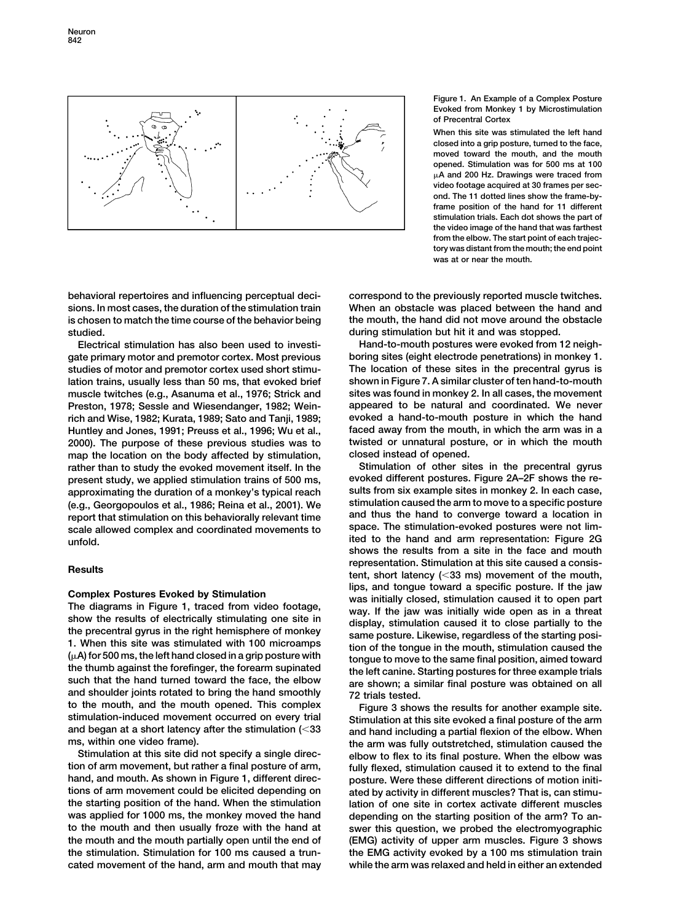

**Figure 1. An Example of a Complex Posture Evoked from Monkey 1 by Microstimulation of Precentral Cortex**

**When this site was stimulated the left hand closed into a grip posture, turned to the face, moved toward the mouth, and the mouth opened. Stimulation was for 500 ms at 100 A and 200 Hz. Drawings were traced from video footage acquired at 30 frames per second. The 11 dotted lines show the frame-byframe position of the hand for 11 different stimulation trials. Each dot shows the part of the video image of the hand that was farthest from the elbow. The start point of each trajectory was distant from the mouth; the end point was at or near the mouth.**

**behavioral repertoires and influencing perceptual deci- correspond to the previously reported muscle twitches. studied. during stimulation but hit it and was stopped.**

**Huntley and Jones, 1991; Preuss et al., 1996; Wu et al., map the location on the body affected by stimulation, closed instead of opened. rather than to study the evoked movement itself. In the Stimulation of other sites in the precentral gyrus present study, we applied stimulation trains of 500 ms, evoked different postures. Figure 2A–2F shows the reapproximating the duration of a monkey's typical reach sults from six example sites in monkey 2. In each case, (e.g., Georgopoulos et al., 1986; Reina et al., 2001). We stimulation caused the arm to move to a specific posture report that stimulation on this behaviorally relevant time and thus the hand to converge toward a location in** scale allowed complex and coordinated movements to **unfold. ited to the hand and arm representation: Figure 2G**

and shoulder joints rotated to bring the hand smoothly<br>to the mouth, and the mouth opened. This complex<br>stimulation-induced movement occurred on every trial<br>stimulation at this site evoked a final posture of the arm and began at a short latency after the stimulation (<33

**Stimulation at this site did not specify a single direc- elbow to flex to its final posture. When the elbow was tion of arm movement, but rather a final posture of arm, fully flexed, stimulation caused it to extend to the final tions of arm movement could be elicited depending on ated by activity in different muscles? That is, can stimuthe starting position of the hand. When the stimulation lation of one site in cortex activate different muscles was applied for 1000 ms, the monkey moved the hand depending on the starting position of the arm? To anto the mouth and then usually froze with the hand at swer this question, we probed the electromyographic the mouth and the mouth partially open until the end of (EMG) activity of upper arm muscles. Figure 3 shows the stimulation. Stimulation for 100 ms caused a trun- the EMG activity evoked by a 100 ms stimulation train cated movement of the hand, arm and mouth that may while the arm was relaxed and held in either an extended**

**sions. In most cases, the duration of the stimulation train When an obstacle was placed between the hand and is chosen to match the time course of the behavior being the mouth, the hand did not move around the obstacle**

**Electrical stimulation has also been used to investi- Hand-to-mouth postures were evoked from 12 neighgate primary motor and premotor cortex. Most previous boring sites (eight electrode penetrations) in monkey 1. studies of motor and premotor cortex used short stimu- The location of these sites in the precentral gyrus is lation trains, usually less than 50 ms, that evoked brief shown in Figure 7. A similar cluster of ten hand-to-mouth muscle twitches (e.g., Asanuma et al., 1976; Strick and sites was found in monkey 2. In all cases, the movement Preston, 1978; Sessle and Wiesendanger, 1982; Wein- appeared to be natural and coordinated. We never rich and Wise, 1982; Kurata, 1989; Sato and Tanji, 1989; evoked a hand-to-mouth posture in which the hand 2000). The purpose of these previous studies was to twisted or unnatural posture, or in which the mouth**

**shows the results from a site in the face and mouth representation. Stimulation at this site caused a consis-<br>
<b>Results**  $\frac{1}{2}$  **Results 33 ms) movement of the mouth,** Complex Postures Evoked by Stimulation<br>
The diagrams in Figure 1, traced from video footage,<br>
show the results of electrically stimulating one site in<br>
the precentral gyrus in the right hemisphere of monkey<br>
1. When this

Stimulation at this site evoked a final posture of the arm **33 and hand including a partial flexion of the elbow. When ms, within one video frame). the arm was fully outstretched, stimulation caused the** posture. Were these different directions of motion initi-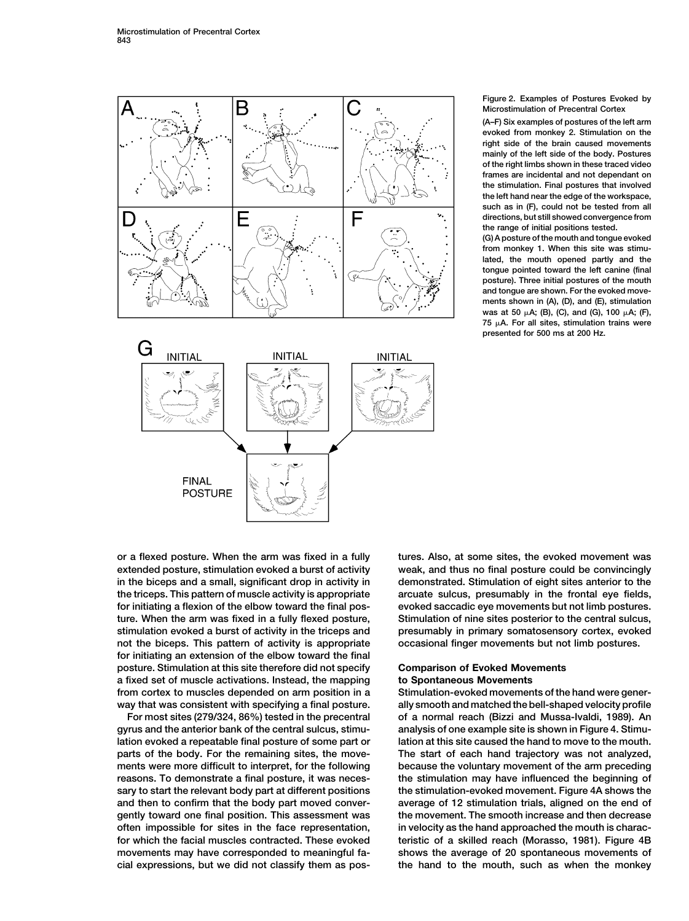

**Figure 2. Examples of Postures Evoked by Microstimulation of Precentral Cortex**

**(A–F) Six examples of postures of the left arm evoked from monkey 2. Stimulation on the right side of the brain caused movements mainly of the left side of the body. Postures of the right limbs shown in these traced video frames are incidental and not dependant on the stimulation. Final postures that involved the left hand near the edge of the workspace, such as in (F), could not be tested from all directions, but still showed convergence from the range of initial positions tested.**

**(G) A posture of the mouth and tongue evoked from monkey 1. When this site was stimulated, the mouth opened partly and the tongue pointed toward the left canine (final posture). Three initial postures of the mouth and tongue are shown. For the evoked movements shown in (A), (D), and (E), stimulation was at 50 A; (B), (C), and (G), 100 A; (F), 75 A. For all sites, stimulation trains were presented for 500 ms at 200 Hz.**

**extended posture, stimulation evoked a burst of activity weak, and thus no final posture could be convincingly in the biceps and a small, significant drop in activity in demonstrated. Stimulation of eight sites anterior to the the triceps. This pattern of muscle activity is appropriate arcuate sulcus, presumably in the frontal eye fields, for initiating a flexion of the elbow toward the final pos- evoked saccadic eye movements but not limb postures. ture. When the arm was fixed in a fully flexed posture, Stimulation of nine sites posterior to the central sulcus, stimulation evoked a burst of activity in the triceps and presumably in primary somatosensory cortex, evoked not the biceps. This pattern of activity is appropriate occasional finger movements but not limb postures. for initiating an extension of the elbow toward the final posture. Stimulation at this site therefore did not specify Comparison of Evoked Movements a fixed set of muscle activations. Instead, the mapping to Spontaneous Movements from cortex to muscles depended on arm position in a Stimulation-evoked movements of the hand were gener-**

**gyrus and the anterior bank of the central sulcus, stimu- analysis of one example site is shown in Figure 4. Stimu**lation evoked a repeatable final posture of some part or lation at this site caused the hand to move to the mouth. **parts of the body. For the remaining sites, the move- The start of each hand trajectory was not analyzed, ments were more difficult to interpret, for the following because the voluntary movement of the arm preceding reasons. To demonstrate a final posture, it was neces- the stimulation may have influenced the beginning of sary to start the relevant body part at different positions the stimulation-evoked movement. Figure 4A shows the and then to confirm that the body part moved conver- average of 12 stimulation trials, aligned on the end of gently toward one final position. This assessment was the movement. The smooth increase and then decrease often impossible for sites in the face representation, in velocity as the hand approached the mouth is characfor which the facial muscles contracted. These evoked teristic of a skilled reach (Morasso, 1981). Figure 4B cial expressions, but we did not classify them as pos- the hand to the mouth, such as when the monkey**

**or a flexed posture. When the arm was fixed in a fully tures. Also, at some sites, the evoked movement was**

**way that was consistent with specifying a final posture. ally smooth and matched the bell-shaped velocity profile For most sites (279/324, 86%) tested in the precentral of a normal reach (Bizzi and Mussa-Ivaldi, 1989). An movements may have corresponded to meaningful fa- shows the average of 20 spontaneous movements of**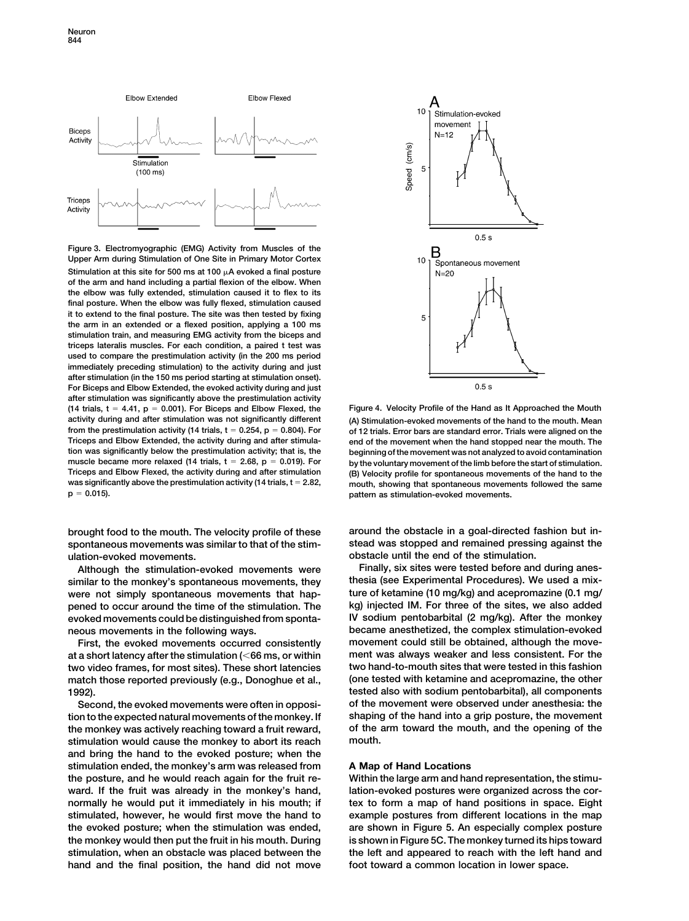

**Figure 3. Electromyographic (EMG) Activity from Muscles of the Upper Arm during Stimulation of One Site in Primary Motor Cortex** Stimulation at this site for 500 ms at 100  $\mu$ A evoked a final posture **of the arm and hand including a partial flexion of the elbow. When the elbow was fully extended, stimulation caused it to flex to its final posture. When the elbow was fully flexed, stimulation caused it to extend to the final posture. The site was then tested by fixing the arm in an extended or a flexed position, applying a 100 ms stimulation train, and measuring EMG activity from the biceps and triceps lateralis muscles. For each condition, a paired t test was used to compare the prestimulation activity (in the 200 ms period immediately preceding stimulation) to the activity during and just after stimulation (in the 150 ms period starting at stimulation onset). For Biceps and Elbow Extended, the evoked activity during and just after stimulation was significantly above the prestimulation activity (14 trials, t 4.41, p 0.001). For Biceps and Elbow Flexed, the Figure 4. Velocity Profile of the Hand as It Approached the Mouth activity during and after stimulation was not significantly different (A) Stimulation-evoked movements of the hand to the mouth. Mean from the prestimulation activity (14 trials, t 0.254, p 0.804). For of 12 trials. Error bars are standard error. Trials were aligned on the Triceps and Elbow Extended, the activity during and after stimula- end of the movement when the hand stopped near the mouth. The muscle became more relaxed (14 trials, t 2.68, p 0.019). For by the voluntary movement of the limb before the start of stimulation. Triceps and Elbow Flexed, the activity during and after stimulation (B) Velocity profile for spontaneous movements of the hand to the** was significantly above the prestimulation activity (14 trials, t = 2.82, mouth, showing that spontaneous movements followed the same<br>p = 0.015).<br>pattern as stimulation-evoked movements.

**ulation-evoked movements. obstacle until the end of the stimulation.**

**similar to the monkey's spontaneous movements, they thesia (see Experimental Procedures). We used a mixwere not simply spontaneous movements that hap- ture of ketamine (10 mg/kg) and acepromazine (0.1 mg/ pened to occur around the time of the stimulation. The kg) injected IM. For three of the sites, we also added evoked movements could be distinguished from sponta- IV sodium pentobarbital (2 mg/kg). After the monkey**

First, the evoked movements occurred consistently at a short latency after the stimulation  $(<$  66 ms, or within **two video frames, for most sites). These short latencies two hand-to-mouth sites that were tested in this fashion** match those reported previously (e.g., Donoghue et al.,

**tion to the expected natural movements of the monkey. If shaping of the hand into a grip posture, the movement the monkey was actively reaching toward a fruit reward, but in the distribution would cause the monkey to abort its reach and mouth. stimulation would cause the monkey to abort its reach mouth. and bring the hand to the evoked posture; when the stimulation ended, the monkey's arm was released from A Map of Hand Locations the posture, and he would reach again for the fruit re- Within the large arm and hand representation, the stimu**ward. If the fruit was already in the monkey's hand, lation-evoked postures were organized across the cor**normally he would put it immediately in his mouth; if tex to form a map of hand positions in space. Eight stimulated, however, he would first move the hand to example postures from different locations in the map the evoked posture; when the stimulation was ended, are shown in Figure 5. An especially complex posture the monkey would then put the fruit in his mouth. During is shown in Figure 5C. The monkey turned its hips toward stimulation, when an obstacle was placed between the the left and appeared to reach with the left hand and hand and the final position, the hand did not move foot toward a common location in lower space.**



**tion was significantly below the prestimulation activity; that is, the beginning of the movement was not analyzed to avoid contamination p 0.015). pattern as stimulation-evoked movements.**

**brought food to the mouth. The velocity profile of these around the obstacle in a goal-directed fashion but inspontaneous movements was similar to that of the stim- stead was stopped and remained pressing against the**

**Although the stimulation-evoked movements were Finally, six sites were tested before and during anesneous movements in the following ways. became anesthetized, the complex stimulation-evoked** ment was always weaker and less consistent. For the<br>two hand-to-mouth sites that were tested in this fashion **1992). tested also with sodium pentobarbital), all components Second, the evoked movements were often in opposi- of the movement were observed under anesthesia: the**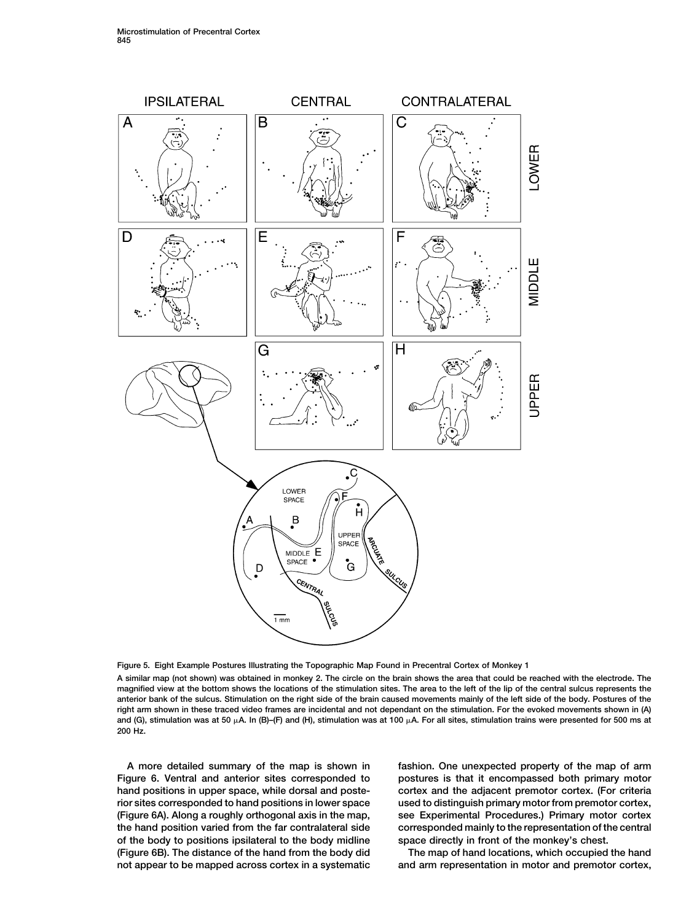

**Figure 5. Eight Example Postures Illustrating the Topographic Map Found in Precentral Cortex of Monkey 1**

**A similar map (not shown) was obtained in monkey 2. The circle on the brain shows the area that could be reached with the electrode. The magnified view at the bottom shows the locations of the stimulation sites. The area to the left of the lip of the central sulcus represents the anterior bank of the sulcus. Stimulation on the right side of the brain caused movements mainly of the left side of the body. Postures of the right arm shown in these traced video frames are incidental and not dependant on the stimulation. For the evoked movements shown in (A) and (G), stimulation was at 50 A. In (B)–(F) and (H), stimulation was at 100 A. For all sites, stimulation trains were presented for 500 ms at 200 Hz.**

**of the body to positions ipsilateral to the body midline space directly in front of the monkey's chest. (Figure 6B). The distance of the hand from the body did The map of hand locations, which occupied the hand**

**A more detailed summary of the map is shown in fashion. One unexpected property of the map of arm Figure 6. Ventral and anterior sites corresponded to postures is that it encompassed both primary motor hand positions in upper space, while dorsal and poste- cortex and the adjacent premotor cortex. (For criteria rior sites corresponded to hand positions in lower space used to distinguish primary motor from premotor cortex, (Figure 6A). Along a roughly orthogonal axis in the map, see Experimental Procedures.) Primary motor cortex the hand position varied from the far contralateral side corresponded mainly to the representation of the central**

**not appear to be mapped across cortex in a systematic and arm representation in motor and premotor cortex,**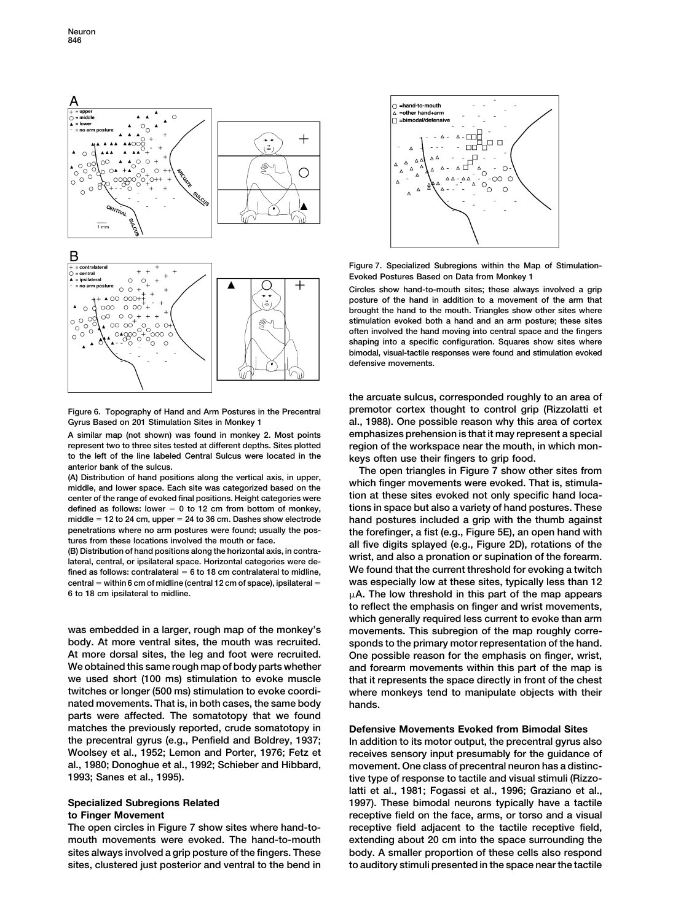

**tion at these sites evoked not only specific hand loca- center of the range of evoked final positions. Height categories were defined as follows: lower 0 to 12 cm from bottom of monkey, tions in space but also a variety of hand postures. These middle 12 to 24 cm, upper 24 to 36 cm. Dashes show electrode hand postures included a grip with the thumb against**

**fined as follows: contralateral 6 to 18 cm contralateral to midline, We found that the current threshold for evoking a twitch** central = within 6 cm of midline (central 12 cm of space), ipsilateral =

**body. At more ventral sites, the mouth was recruited. sponds to the primary motor representation of the hand. At more dorsal sites, the leg and foot were recruited. One possible reason for the emphasis on finger, wrist, We obtained this same rough map of body parts whether and forearm movements within this part of the map is we used short (100 ms) stimulation to evoke muscle that it represents the space directly in front of the chest twitches or longer (500 ms) stimulation to evoke coordi- where monkeys tend to manipulate objects with their nated movements. That is, in both cases, the same body hands. parts were affected. The somatotopy that we found matches the previously reported, crude somatotopy in Defensive Movements Evoked from Bimodal Sites the precentral gyrus (e.g., Penfield and Boldrey, 1937; In addition to its motor output, the precentral gyrus also Woolsey et al., 1952; Lemon and Porter, 1976; Fetz et receives sensory input presumably for the guidance of**

**The open circles in Figure 7 show sites where hand-to- receptive field adjacent to the tactile receptive field, mouth movements were evoked. The hand-to-mouth extending about 20 cm into the space surrounding the sites always involved a grip posture of the fingers. These body. A smaller proportion of these cells also respond** sites, clustered just posterior and ventral to the bend in to auditory stimuli presented in the space near the tactile



**Figure 7. Specialized Subregions within the Map of Stimulation-Evoked Postures Based on Data from Monkey 1**

**Circles show hand-to-mouth sites; these always involved a grip posture of the hand in addition to a movement of the arm that brought the hand to the mouth. Triangles show other sites where stimulation evoked both a hand and an arm posture; these sites often involved the hand moving into central space and the fingers shaping into a specific configuration. Squares show sites where bimodal, visual-tactile responses were found and stimulation evoked defensive movements.**

**the arcuate sulcus, corresponded roughly to an area of Figure 6. Topography of Hand and Arm Postures in the Precentral premotor cortex thought to control grip (Rizzolatti et Gyrus Based on 201 Stimulation Sites in Monkey 1 al., 1988). One possible reason why this area of cortex A similar map (not shown) was found in monkey 2. Most points emphasizes prehension is that it may represent a special represent two to three sites tested at different depths. Sites plotted** region of the workspace near the mouth, in which montroportion the left of the line labeled Central Sulcus were located in the keys often use their f

to the left of the line labeled Central Sulcus were located in the very soften use their fingers to grip food.<br>
The open triangles in Figure 7 show other sites from<br>
(A) Distribution of hand positions along the vertical ax penetrations where no arm postures were round; usually the pos-<br>the forefinger, a fist (e.g., Figure 5E), an open hand with<br>tures from these locations involved the mouth or face.<br>(B) Distribution of hand positions along th **6 to 18 cm ipsilateral to midline. A. The low threshold in this part of the map appears to reflect the emphasis on finger and wrist movements, which generally required less current to evoke than arm was embedded in a larger, rough map of the monkey's movements. This subregion of the map roughly corre-**

movement. One class of precentral neuron has a distinc-**1993; Sanes et al., 1995). tive type of response to tactile and visual stimuli (Rizzolatti et al., 1981; Fogassi et al., 1996; Graziano et al., Specialized Subregions Related 1997). These bimodal neurons typically have a tactile to Finger Movement receptive field on the face, arms, or torso and a visual**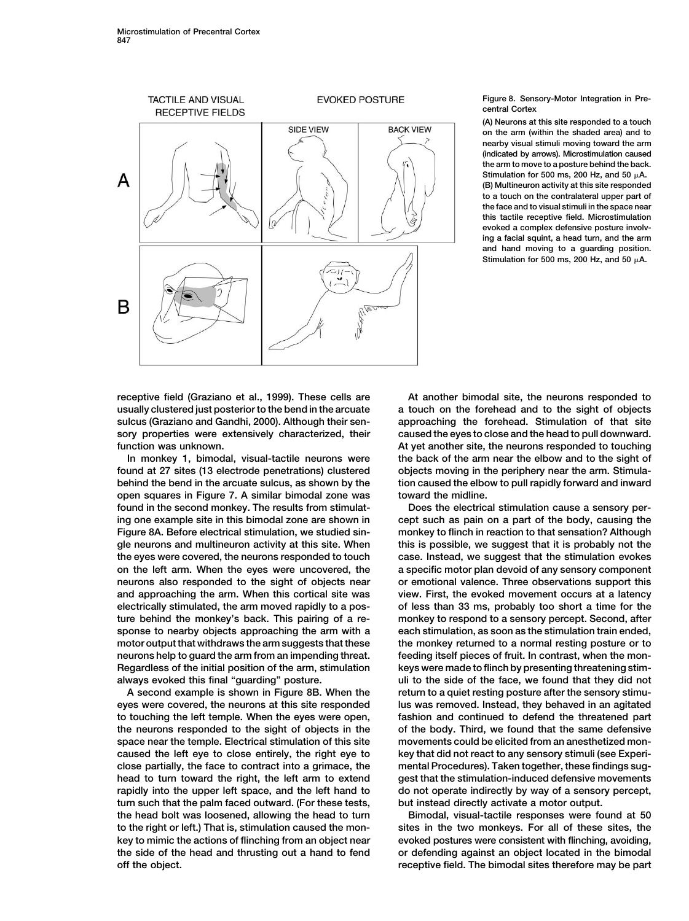

**Figure 8. Sensory-Motor Integration in Precentral Cortex**

**(A) Neurons at this site responded to a touch on the arm (within the shaded area) and to nearby visual stimuli moving toward the arm (indicated by arrows). Microstimulation caused the arm to move to a posture behind the back. Stimulation for 500 ms, 200 Hz, and 50 μA. (B) Multineuron activity at this site responded to a touch on the contralateral upper part of the face and to visual stimuli in the space near this tactile receptive field. Microstimulation evoked a complex defensive posture involving a facial squint, a head turn, and the arm and hand moving to a guarding position. Stimulation for 500 ms, 200 Hz, and 50 A.**

**found at 27 sites (13 electrode penetrations) clustered objects moving in the periphery near the arm. Stimulabehind the bend in the arcuate sulcus, as shown by the tion caused the elbow to pull rapidly forward and inward open squares in Figure 7. A similar bimodal zone was toward the midline. found in the second monkey. The results from stimulat- Does the electrical stimulation cause a sensory pering one example site in this bimodal zone are shown in cept such as pain on a part of the body, causing the Figure 8A. Before electrical stimulation, we studied sin- monkey to flinch in reaction to that sensation? Although gle neurons and multineuron activity at this site. When this is possible, we suggest that it is probably not the the eyes were covered, the neurons responded to touch case. Instead, we suggest that the stimulation evokes on the left arm. When the eyes were uncovered, the a specific motor plan devoid of any sensory component neurons also responded to the sight of objects near or emotional valence. Three observations support this and approaching the arm. When this cortical site was view. First, the evoked movement occurs at a latency electrically stimulated, the arm moved rapidly to a pos- of less than 33 ms, probably too short a time for the ture behind the monkey's back. This pairing of a re- monkey to respond to a sensory percept. Second, after sponse to nearby objects approaching the arm with a each stimulation, as soon as the stimulation train ended, motor output that withdraws the arm suggests that these the monkey returned to a normal resting posture or to neurons help to guard the arm from an impending threat. feeding itself pieces of fruit. In contrast, when the mon-**Regardless of the initial position of the arm, stimulation keys were made to flinch by presenting threatening stim**always evoked this final "guarding" posture. uli to the side of the face, we found that they did not**

**eyes were covered, the neurons at this site responded lus was removed. Instead, they behaved in an agitated the neurons responded to the sight of objects in the of the body. Third, we found that the same defensive space near the temple. Electrical stimulation of this site movements could be elicited from an anesthetized moncaused the left eye to close entirely, the right eye to key that did not react to any sensory stimuli (see Expericlose partially, the face to contract into a grimace, the mental Procedures). Taken together, these findings sughead to turn toward the right, the left arm to extend gest that the stimulation-induced defensive movements** rapidly into the upper left space, and the left hand to do not operate indirectly by way of a sensory percept, **turn such that the palm faced outward. (For these tests, but instead directly activate a motor output. the head bolt was loosened, allowing the head to turn Bimodal, visual-tactile responses were found at 50 to the right or left.) That is, stimulation caused the mon- sites in the two monkeys. For all of these sites, the key to mimic the actions of flinching from an object near evoked postures were consistent with flinching, avoiding, the side of the head and thrusting out a hand to fend or defending against an object located in the bimodal**

receptive field (Graziano et al., 1999). These cells are **At another bimodal site, the neurons responded to usually clustered just posterior to the bend in the arcuate a touch on the forehead and to the sight of objects sulcus (Graziano and Gandhi, 2000). Although their sen- approaching the forehead. Stimulation of that site sory properties were extensively characterized, their caused the eyes to close and the head to pull downward. function was unknown. At yet another site, the neurons responded to touching In monkey 1, bimodal, visual-tactile neurons were the back of the arm near the elbow and to the sight of**

**A second example is shown in Figure 8B. When the return to a quiet resting posture after the sensory stimuto touching the left temple. When the eyes were open, fashion and continued to defend the threatened part**

**off the object. receptive field. The bimodal sites therefore may be part**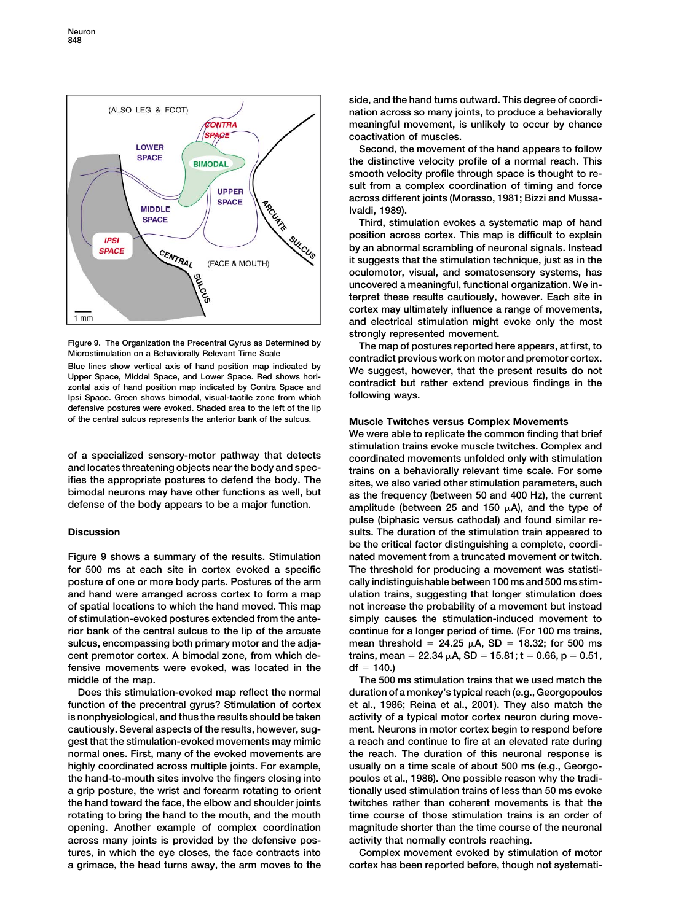

**following ways. Ipsi Space. Green shows bimodal, visual-tactile zone from which defensive postures were evoked. Shaded area to the left of the lip of the central sulcus represents the anterior bank of the sulcus. Muscle Twitches versus Complex Movements**

**for 500 ms at each site in cortex evoked a specific The threshold for producing a movement was statistiposture of one or more body parts. Postures of the arm cally indistinguishable between 100 ms and 500 ms stimand hand were arranged across cortex to form a map ulation trains, suggesting that longer stimulation does of spatial locations to which the hand moved. This map not increase the probability of a movement but instead of stimulation-evoked postures extended from the ante- simply causes the stimulation-induced movement to rior bank of the central sulcus to the lip of the arcuate continue for a longer period of time. (For 100 ms trains,** sulcus, encompassing both primary motor and the adja- mean threshold  $= 24.25 \mu A$ , SD  $= 18.32$ ; for 500 ms **cent premotor cortex. A bimodal zone, from which de- trains, mean** =  $22.34 \mu$ A, SD =  $15.81$ ; t = 0.66, p = 0.51, **fensive movements were evoked, was located in the**  $df = 140$ **.)** 

**across many joints is provided by the defensive pos- activity that normally controls reaching. tures, in which the eye closes, the face contracts into Complex movement evoked by stimulation of motor a grimace, the head turns away, the arm moves to the cortex has been reported before, though not systemati-**

**side, and the hand turns outward. This degree of coordination across so many joints, to produce a behaviorally meaningful movement, is unlikely to occur by chance coactivation of muscles.**

**Second, the movement of the hand appears to follow the distinctive velocity profile of a normal reach. This smooth velocity profile through space is thought to result from a complex coordination of timing and force across different joints (Morasso, 1981; Bizzi and Mussa-Ivaldi, 1989).**

**Third, stimulation evokes a systematic map of hand position across cortex. This map is difficult to explain by an abnormal scrambling of neuronal signals. Instead it suggests that the stimulation technique, just as in the oculomotor, visual, and somatosensory systems, has uncovered a meaningful, functional organization. We interpret these results cautiously, however. Each site in cortex may ultimately influence a range of movements, and electrical stimulation might evoke only the most strongly represented movement.**

Figure 9. The Organization the Precentral Gyrus as Determined by<br>
Microstimulation on a Behaviorally Relevant Time Scale<br>
Blue lines show vertical axis of hand position map indicated by<br>
Upper Space, Middel Space, and Lowe

**We were able to replicate the common finding that brief stimulation trains evoke muscle twitches. Complex and** of a specialized sensory-motor pathway that detects<br>and locates threatening objects near the body and spec-<br>ifies the appropriate postures to defend the body. The<br>bimodal neurons may have other functions as well, but<br>as th bimodal neurons may have other functions as well, but as the frequency (between 50 and 400 Hz), the current defense of the body appears to be a major function.  $\frac{1}{2}$  amplitude (between 25 and 150  $\mu$ A), and the type **pulse (biphasic versus cathodal) and found similar re-Discussion sults. The duration of the stimulation train appeared to be the critical factor distinguishing a complete, coordi-Figure 9 shows a summary of the results. Stimulation nated movement from a truncated movement or twitch.**

**middle of the map. The 500 ms stimulation trains that we used match the Does this stimulation-evoked map reflect the normal duration of a monkey's typical reach (e.g., Georgopoulos function of the precentral gyrus? Stimulation of cortex et al., 1986; Reina et al., 2001). They also match the is nonphysiological, and thus the results should be taken activity of a typical motor cortex neuron during movecautiously. Several aspects of the results, however, sug- ment. Neurons in motor cortex begin to respond before gest that the stimulation-evoked movements may mimic a reach and continue to fire at an elevated rate during normal ones. First, many of the evoked movements are the reach. The duration of this neuronal response is highly coordinated across multiple joints. For example, usually on a time scale of about 500 ms (e.g., Georgothe hand-to-mouth sites involve the fingers closing into poulos et al., 1986). One possible reason why the tradia grip posture, the wrist and forearm rotating to orient tionally used stimulation trains of less than 50 ms evoke the hand toward the face, the elbow and shoulder joints twitches rather than coherent movements is that the** rotating to bring the hand to the mouth, and the mouth time course of those stimulation trains is an order of **opening. Another example of complex coordination magnitude shorter than the time course of the neuronal**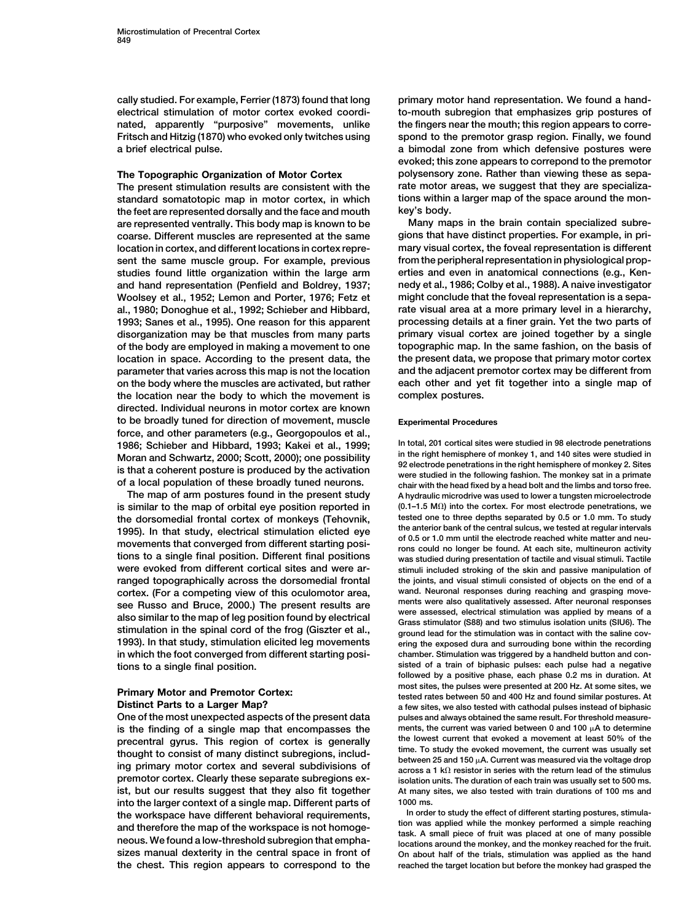cally studied. For example, Ferrier (1873) found that long primary motor hand representation. We found a hand**electrical stimulation of motor cortex evoked coordi- to-mouth subregion that emphasizes grip postures of** nated, apparently "purposive" movements, unlike the fingers near the mouth; this region appears to corre-**Fritsch and Hitzig (1870) who evoked only twitches using spond to the premotor grasp region. Finally, we found a brief electrical pulse. a bimodal zone from which defensive postures were**

**standard somatotopic map in motor cortex, in which tions within a larger map of the space around the monthe feet are represented dorsally and the face and mouth key's body. are represented ventrally. This body map is known to be Many maps in the brain contain specialized subrecoarse. Different muscles are represented at the same gions that have distinct properties. For example, in prilocation in cortex, and different locations in cortex repre- mary visual cortex, the foveal representation is different sent the same muscle group. For example, previous from the peripheral representation in physiological propstudies found little organization within the large arm erties and even in anatomical connections (e.g., Kenand hand representation (Penfield and Boldrey, 1937; nedy et al., 1986; Colby et al., 1988). A naive investigator Woolsey et al., 1952; Lemon and Porter, 1976; Fetz et might conclude that the foveal representation is a sepaal., 1980; Donoghue et al., 1992; Schieber and Hibbard, rate visual area at a more primary level in a hierarchy, 1993; Sanes et al., 1995). One reason for this apparent processing details at a finer grain. Yet the two parts of disorganization may be that muscles from many parts primary visual cortex are joined together by a single of the body are employed in making a movement to one topographic map. In the same fashion, on the basis of location in space. According to the present data, the the present data, we propose that primary motor cortex parameter that varies across this map is not the location and the adjacent premotor cortex may be different from on the body where the muscles are activated, but rather each other and yet fit together into a single map of the location near the body to which the movement is complex postures. directed. Individual neurons in motor cortex are known to be broadly tuned for direction of movement, muscle Experimental Procedures force, and other parameters (e.g., Georgopoulos et al., 1986; Schieber and Hibbard, 1993; Kakei et al., 1999; In total, 201 cortical sites were studied in 98 electrode penetrations Moran and Schwartz, 2000; Scott, 2000); one possibility in the right hemisphere of monkey 1, and 140 sites were studied in**

**is similar to the map of orbital eye position reported in (0.1–1.5 M) into the cortex. For most electrode penetrations, we tested one to three depths separated by 0.5 or 1.0 mm. To study the dorsomedial frontal cortex of monkeys (Tehovnik,** 1995). In that study, electrical stimulation elicted eye<br>movements that converged from different starting posi-<br>tions to a single final position. Different final positions<br>was studied during presentation of tactile and vis **ranged topographically across the dorsomedial frontal the joints, and visual stimuli consisted of objects on the end of a cortex. (For a competing view of this oculomotor area, wand. Neuronal responses during reaching and grasping move**see Russo and Bruce, 2000.) The present results are<br>also similar to the map of leg position found by electrical<br>stimulation was applied by means of a<br>stimulation in the spinal cord of the frog (Giszter et al.,<br>also simulat **in which the foot converged from different starting posi- chamber. Stimulation was triggered by a handheld button and con-**

**One of the most unexpected aspects of the present data pulses and always obtained the same result. For threshold measure**is the finding of a single map that encompasses the ments, the current was varied between 0 and 100 µA to determine<br>**precentral gyrus**. This region of cortex is generally the lowest current that evoked a movement at least precentral gyrus. This region of cortex is generally the lowest current that evoked a movement at least 50% of the<br>thought to consist of many distinct subregions, includ-<br>ing primary motor cortex and several subdivisions **premotor cortex. Clearly these separate subregions ex- isolation units. The duration of each train was usually set to 500 ms. ist, but our results suggest that they also fit together At many sites, we also tested with train durations of 100 ms and 1000 ms. into the larger context of a single map. Different parts of** the workspace have different behavioral requirements,<br>and therefore the map of the workspace is not homoge-<br>neous. We found a low-threshold subregion that empha-<br>neous. We found a low-threshold subregion that empha-<br>locati **sizes manual dexterity in the central space in front of On about half of the trials, stimulation was applied as the hand the chest. This region appears to correspond to the reached the target location but before the monkey had grasped the**

**evoked; this zone appears to correpond to the premotor The Topographic Organization of Motor Cortex polysensory zone. Rather than viewing these as sepa-The present stimulation results are consistent with the rate motor areas, we suggest that they are specializa-**

is that a coherent posture is produced by the activation<br>of a local population of these broadly tuned neurons.<br>The map of arm postures found in the present study<br>The map of arm postures found in the present study<br>A hydraul **The map of arm postures found in the present study A hydraulic microdrive was used to lower a tungsten microelectrode** stimuli included stroking of the skin and passive manipulation of ering the exposed dura and surrouding bone within the recording **sisted of a train of biphasic pulses: each pulse had a negative tions to a single final position. followed by a positive phase, each phase 0.2 ms in duration. At Primary Motor and Premotor Cortex:**<br>**1. At some sites, we are the pulses were presented at 200 Hz. At some sites, we <b>Proportive Some States** at tested rates between 50 and 400 Hz and found similar postures. At<br>1. A few s **Distinct Parts to a Larger Map? a few sites, we also tested with cathodal pulses instead of biphasic**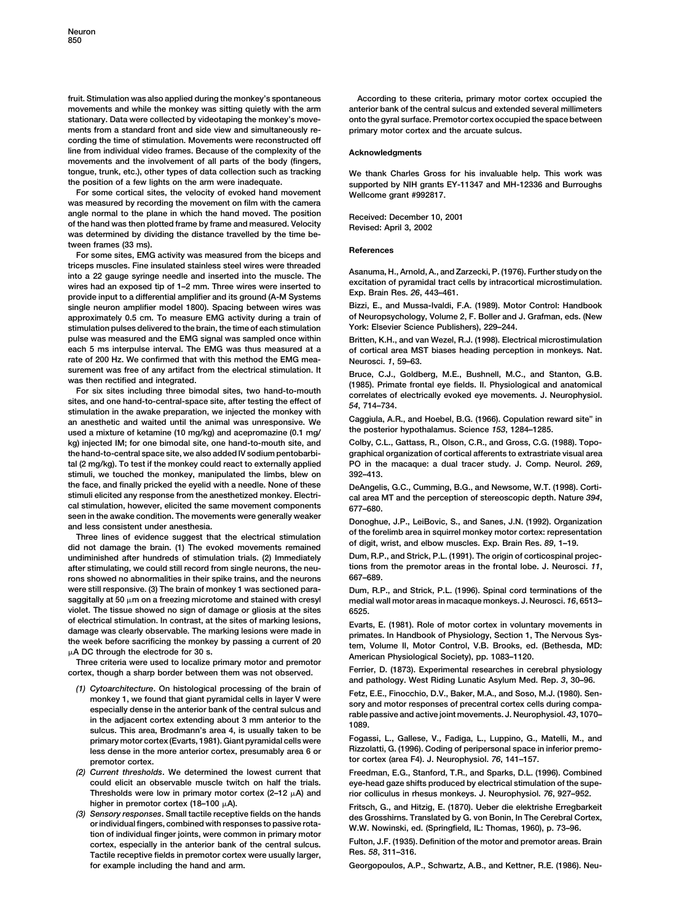**movements and while the monkey was sitting quietly with the arm anterior bank of the central sulcus and extended several millimeters stationary. Data were collected by videotaping the monkey's move- onto the gyral surface. Premotor cortex occupied the space between ments from a standard front and side view and simultaneously re- primary motor cortex and the arcuate sulcus. cording the time of stimulation. Movements were reconstructed off line from individual video frames. Because of the complexity of the Acknowledgments movements and the involvement of all parts of the body (fingers, tongue, trunk, etc.), other types of data collection such as tracking We thank Charles Gross for his invaluable help. This work was**

For some cortical sites, the velocity of evoked hand movement Wellcome grant #992817. **was measured by recording the movement on film with the camera** angle normal to the plane in which the hand moved. The position<br>of the hand was then plotted frame by frame and measured. Velocity<br>was determined by dividing the distance travelled by the time be-<br>Revised: April 3, 2002

**tween frames (33 ms). References For some sites, EMG activity was measured from the biceps and** triceps muscles. Fine insulated stainless steel wires were threaded<br>
into a 22 gauge syringe needle and inserted into the muscle. The<br>
wires had an exposed tip of 1–2 mm. Three wires were inserted to<br>
wires had an exposed **single neuron amplifier model 1800). Spacing between wires was Bizzi, E., and Mussa-Ivaldi, F.A. (1989). Motor Control: Handbook** approximately 0.5 cm. To measure EMG activity during a train of **stimulation pulses delivered to the brain, the time of each stimulation York: Elsevier Science Publishers), 229–244. pulse was measured and the EMG signal was sampled once within Britten, K.H., and van Wezel, R.J. (1998). Electrical microstimulation rate of 200 Hz. We confirmed that with this method the EMG mea- Neurosci.** *1***, 59–63.**

surement was free of any artifact from the electrical stimulation. It<br>was then rectified and integrated.<br>For six sites including three bimodal sites, two hand-to-mouth sites, and Stanton, G.B.<br>stiss, and one hand-to-mouth **kg) injected IM; for one bimodal site, one hand-to-mouth site, and Colby, C.L., Gattass, R., Olson, C.R., and Gross, C.G. (1988). Topothe hand-to-central space site, we also added IV sodium pentobarbi- graphical organization of cortical afferents to extrastriate visual area tal (2 mg/kg). To test if the monkey could react to externally applied PO in the macaque: a dual tracer study. J. Comp. Neurol.** *269***, stimuli, we touched the monkey, manipulated the limbs, blew on 392–413. the face, and finally pricked the eyelid with a needle. None of these DeAngelis, G.C., Cumming, B.G., and Newsome, W.T. (1998). Corti**stimuli elicited any response from the anesthetized monkey. Electrically cal area MT and the perception of stereoscopic depth. Nature 394,<br>cal stimulation, however, elicited the same movement components<br>seen in the awake c

Three lines of evidence suggest that the electrical stimulation<br>did not damage the brain. (1) The evoked movements remained<br>undiminished after hundreds of stimulation trials. (2) Immediately Dum, R.P., and Strick, P.L. (19 **undiminished after hundreds of stimulation trials. (2) Immediately Dum, R.P., and Strick, P.L. (1991). The origin of corticospinal projecafter stimulating, we could still record from single neurons, the neu-** tions from the premotor areas in the premotor and the premotor areas in the premotor and the premotor areas in the frontal local means in the premoto **rons showed no abnormalities in their spike trains, and the neurons 667–689. were still responsive. (3) The brain of monkey 1 was sectioned para- Dum, R.P., and Strick, P.L. (1996). Spinal cord terminations of the violet. The tissue showed no sign of damage or gliosis at the sites 6525.**

Three criteria were used to localize primary motor and premotor correscant hysiological boclety, pp. 1000–1120.<br>
cortex, though a sharp border between them was not observed. Ferrier, D. (1873). Experimental researches in c

- (1) Cytoarchitecture. On histological processing of the brain of<br>monkey 1, we found that giant pyramidal cells in layer V were<br>especially dense in the anterior bank of the central sulcus and<br>in the adjacent cortex extendin **premotor cortex. tor cortex (area F4). J. Neurophysiol.** *76***, 141–157.**
- **Thresholds were low in primary motor cortex (2–12 A) and rior colliculus in rhesus monkeys. J. Neurophysiol.** *76***, 927–952.**
- higher in premotor cortex (18-100 μA).<br>
(3) Sensory responses. Small tactile receptive fields on the hands<br>
or individual fingers, combined with responses to passive rota-<br>
or individual fingers, combined with responses t

fruit. Stimulation was also applied during the monkey's spontaneous **According to these criteria, primary motor cortex occupied the** 

supported by NIH grants EY-11347 and MH-12336 and Burroughs

of cortical area MST biases heading perception in monkeys. Nat.

**seen in the awake condition.** The movements were generally weaker<br>and less consistent under anesthesia. The proportional original proportional of the forelimb area in squirrel monkey motor cortex: representation<br>The forel

**saggitally at 50 m on a freezing microtome and stained with cresyl medial wall motor areas in macaque monkeys. J. Neurosci.** *16***, 6513–**

of electrical stimulation. In contrast, at the sites of marking lesions,<br>damage was clearly observable. The marking lesions were made in<br>the week before sacrificing the monkey by passing a current of 20<br> $\mu$ A DC through th

**and pathology. West Riding Lunatic Asylum Med. Rep.** *3***, 30–96.**

**primary motor cortex (Evarts, 1981). Giant pyramidal cells were Fogassi, L., Gallese, V., Fadiga, L., Luppino, G., Matelli, M., and Rizzolatti, G. (1996). Coding of peripersonal space in inferior premo- less dense in the more anterior cortex, presumably area 6 or**

*(2) Current thresholds***. We determined the lowest current that Freedman, E.G., Stanford, T.R., and Sparks, D.L. (1996). Combined could elicit an observable muscle twitch on half the trials. eye-head gaze shifts produced by electrical stimulation of the supe-**

**for example including the hand and arm. Georgopoulos, A.P., Schwartz, A.B., and Kettner, R.E. (1986). Neu-**